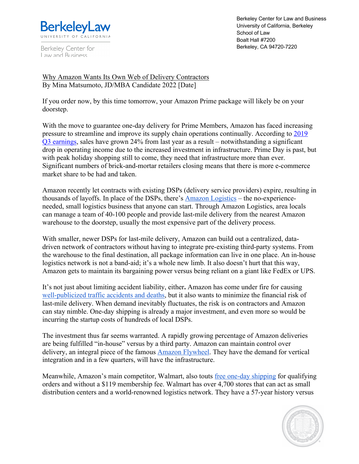

Berkeley Center for Law and Business

Berkeley Center for Law and Business University of California, Berkeley School of Law Boalt Hall #7200 Berkeley, CA 94720-7220

Why Amazon Wants Its Own Web of Delivery Contractors By Mina Matsumoto, JD/MBA Candidate 2022 [Date]

If you order now, by this time tomorrow, your Amazon Prime package will likely be on your doorstep.

With the move to guarantee one-day delivery for Prime Members, Amazon has faced increasing pressure to streamline and improve its supply chain operations continually. According to 2019 Q3 earnings, sales have grown 24% from last year as a result – notwithstanding a significant drop in operating income due to the increased investment in infrastructure. Prime Day is past, but with peak holiday shopping still to come, they need that infrastructure more than ever. Significant numbers of brick-and-mortar retailers closing means that there is more e-commerce market share to be had and taken.

Amazon recently let contracts with existing DSPs (delivery service providers) expire, resulting in thousands of layoffs. In place of the DSPs, there's Amazon Logistics – the no-experienceneeded, small logistics business that anyone can start. Through Amazon Logistics, area locals can manage a team of 40-100 people and provide last-mile delivery from the nearest Amazon warehouse to the doorstep, usually the most expensive part of the delivery process.

With smaller, newer DSPs for last-mile delivery, Amazon can build out a centralized, datadriven network of contractors without having to integrate pre-existing third-party systems. From the warehouse to the final destination, all package information can live in one place. An in-house logistics network is not a band-aid; it's a whole new limb. It also doesn't hurt that this way, Amazon gets to maintain its bargaining power versus being reliant on a giant like FedEx or UPS.

It's not just about limiting accident liability, either**.** Amazon has come under fire for causing well-publicized traffic accidents and deaths, but it also wants to minimize the financial risk of last-mile delivery. When demand inevitably fluctuates, the risk is on contractors and Amazon can stay nimble. One-day shipping is already a major investment, and even more so would be incurring the startup costs of hundreds of local DSPs.

The investment thus far seems warranted. A rapidly growing percentage of Amazon deliveries are being fulfilled "in-house" versus by a third party. Amazon can maintain control over delivery, an integral piece of the famous Amazon Flywheel. They have the demand for vertical integration and in a few quarters, will have the infrastructure.

Meanwhile, Amazon's main competitor, Walmart, also touts free one-day shipping for qualifying orders and without a \$119 membership fee. Walmart has over 4,700 stores that can act as small distribution centers and a world-renowned logistics network. They have a 57-year history versus